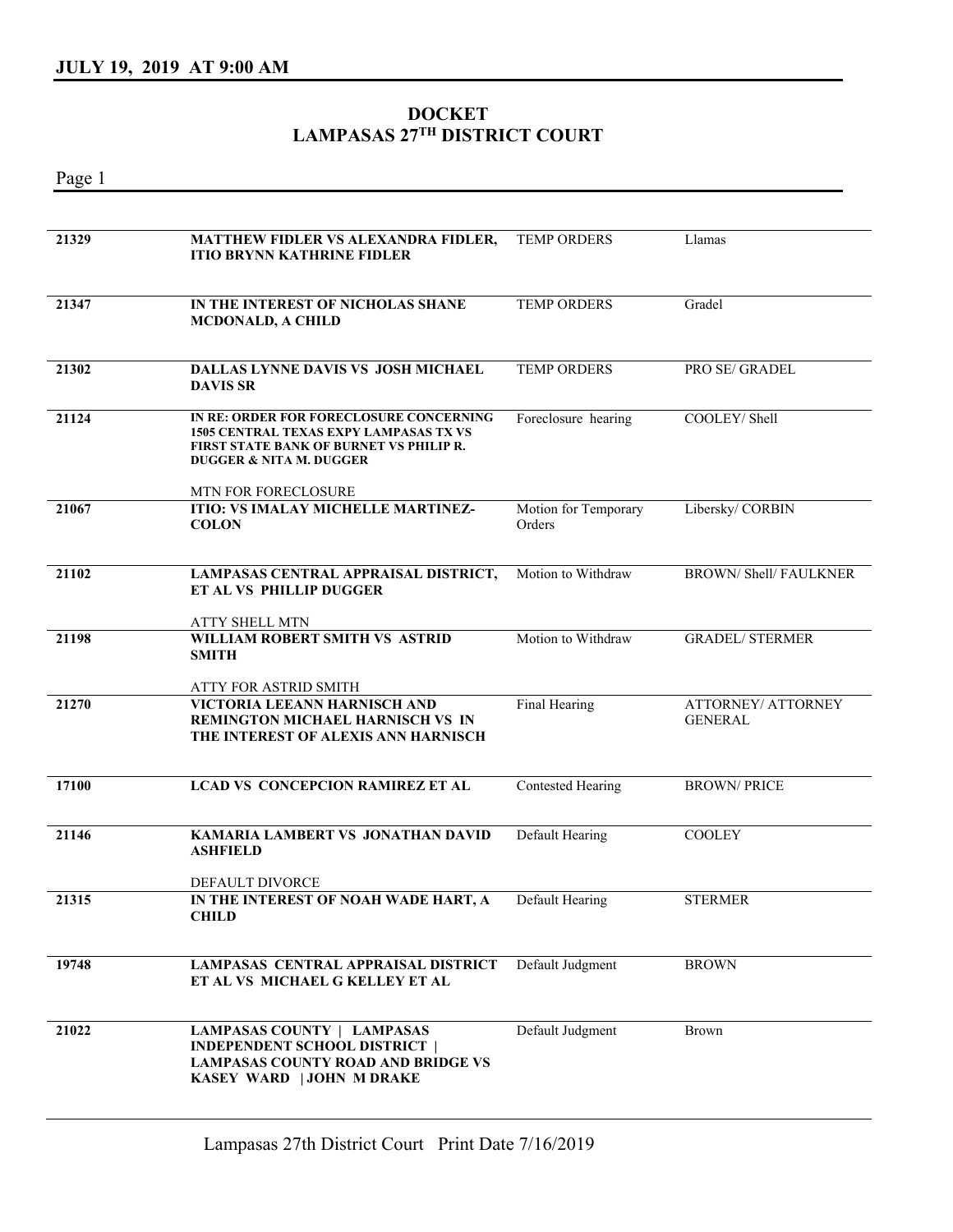## **DOCKET LAMPASAS 27TH DISTRICT COURT**

Page 1

| 21329 | MATTHEW FIDLER VS ALEXANDRA FIDLER,<br><b>ITIO BRYNN KATHRINE FIDLER</b>                                                                                                         | <b>TEMP ORDERS</b>             | Llamas                               |
|-------|----------------------------------------------------------------------------------------------------------------------------------------------------------------------------------|--------------------------------|--------------------------------------|
| 21347 | IN THE INTEREST OF NICHOLAS SHANE<br><b>MCDONALD, A CHILD</b>                                                                                                                    | <b>TEMP ORDERS</b>             | Gradel                               |
| 21302 | DALLAS LYNNE DAVIS VS JOSH MICHAEL<br><b>DAVIS SR</b>                                                                                                                            | TEMP ORDERS                    | PRO SE/ GRADEL                       |
| 21124 | IN RE: ORDER FOR FORECLOSURE CONCERNING<br><b>1505 CENTRAL TEXAS EXPY LAMPASAS TX VS</b><br><b>FIRST STATE BANK OF BURNET VS PHILIP R.</b><br><b>DUGGER &amp; NITA M. DUGGER</b> | Foreclosure hearing            | COOLEY/ Shell                        |
| 21067 | MTN FOR FORECLOSURE<br><b>ITIO: VS IMALAY MICHELLE MARTINEZ-</b><br><b>COLON</b>                                                                                                 | Motion for Temporary<br>Orders | Libersky/CORBIN                      |
| 21102 | LAMPASAS CENTRAL APPRAISAL DISTRICT,<br>ET AL VS PHILLIP DUGGER<br>ATTY SHELL MTN                                                                                                | Motion to Withdraw             | <b>BROWN/ Shell/ FAULKNER</b>        |
| 21198 | WILLIAM ROBERT SMITH VS ASTRID<br><b>SMITH</b><br>ATTY FOR ASTRID SMITH                                                                                                          | Motion to Withdraw             | <b>GRADEL/ STERMER</b>               |
| 21270 | VICTORIA LEEANN HARNISCH AND<br>REMINGTON MICHAEL HARNISCH VS IN<br>THE INTEREST OF ALEXIS ANN HARNISCH                                                                          | Final Hearing                  | ATTORNEY/ ATTORNEY<br><b>GENERAL</b> |
| 17100 | <b>LCAD VS CONCEPCION RAMIREZ ET AL</b>                                                                                                                                          | <b>Contested Hearing</b>       | <b>BROWN/PRICE</b>                   |
| 21146 | <b>KAMARIA LAMBERT VS JONATHAN DAVID</b><br><b>ASHFIELD</b><br>DEFAULT DIVORCE                                                                                                   | Default Hearing                | <b>COOLEY</b>                        |
| 21315 | IN THE INTEREST OF NOAH WADE HART, A<br><b>CHILD</b>                                                                                                                             | Default Hearing                | <b>STERMER</b>                       |
| 19748 | <b>LAMPASAS CENTRAL APPRAISAL DISTRICT</b><br>ET AL VS MICHAEL G KELLEY ET AL                                                                                                    | Default Judgment               | <b>BROWN</b>                         |
| 21022 | <b>LAMPASAS COUNTY   LAMPASAS</b><br><b>INDEPENDENT SCHOOL DISTRICT  </b><br><b>LAMPASAS COUNTY ROAD AND BRIDGE VS</b><br>KASEY WARD   JOHN M DRAKE                              | Default Judgment               | <b>Brown</b>                         |